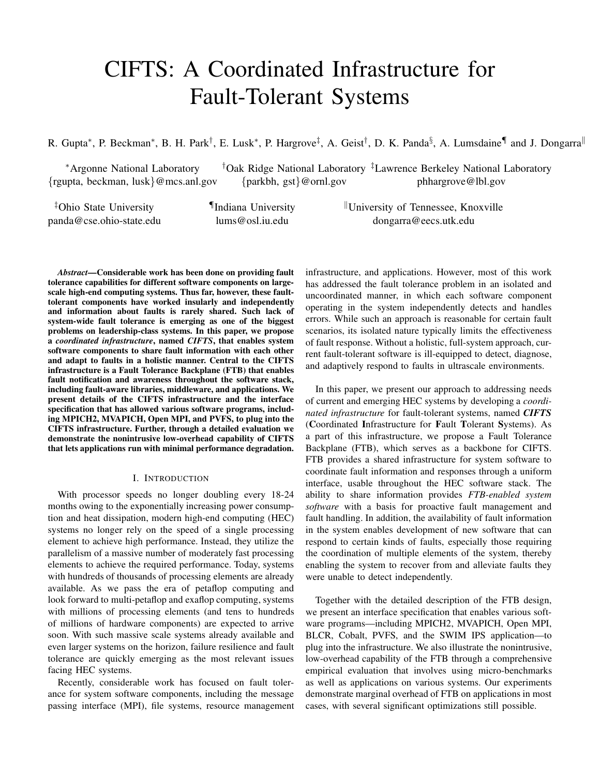# CIFTS: A Coordinated Infrastructure for Fault-Tolerant Systems

R. Gupta\*, P. Beckman\*, B. H. Park<sup>†</sup>, E. Lusk\*, P. Hargrove<sup>‡</sup>, A. Geist<sup>†</sup>, D. K. Panda<sup>§</sup>, A. Lumsdaine¶ and J. Dongarra<sup>||</sup>

<sup>∗</sup>Argonne National Laboratory {rgupta, beckman, lusk}@mcs.anl.gov †Oak Ridge National Laboratory ‡Lawrence Berkeley National Laboratory {parkbh, gst}@ornl.gov phhargrove@lbl.gov

‡Ohio State University panda@cse.ohio-state.edu ¶ Indiana University lums@osl.iu.edu

University of Tennessee, Knoxville dongarra@eecs.utk.edu

*Abstract***—Considerable work has been done on providing fault tolerance capabilities for different software components on largescale high-end computing systems. Thus far, however, these faulttolerant components have worked insularly and independently and information about faults is rarely shared. Such lack of system-wide fault tolerance is emerging as one of the biggest problems on leadership-class systems. In this paper, we propose a** *coordinated infrastructure***, named** *CIFTS***, that enables system software components to share fault information with each other and adapt to faults in a holistic manner. Central to the CIFTS infrastructure is a Fault Tolerance Backplane (FTB) that enables fault notification and awareness throughout the software stack, including fault-aware libraries, middleware, and applications. We present details of the CIFTS infrastructure and the interface specification that has allowed various software programs, including MPICH2, MVAPICH, Open MPI, and PVFS, to plug into the CIFTS infrastructure. Further, through a detailed evaluation we demonstrate the nonintrusive low-overhead capability of CIFTS that lets applications run with minimal performance degradation.**

## I. INTRODUCTION

With processor speeds no longer doubling every 18-24 months owing to the exponentially increasing power consumption and heat dissipation, modern high-end computing (HEC) systems no longer rely on the speed of a single processing element to achieve high performance. Instead, they utilize the parallelism of a massive number of moderately fast processing elements to achieve the required performance. Today, systems with hundreds of thousands of processing elements are already available. As we pass the era of petaflop computing and look forward to multi-petaflop and exaflop computing, systems with millions of processing elements (and tens to hundreds of millions of hardware components) are expected to arrive soon. With such massive scale systems already available and even larger systems on the horizon, failure resilience and fault tolerance are quickly emerging as the most relevant issues facing HEC systems.

Recently, considerable work has focused on fault tolerance for system software components, including the message passing interface (MPI), file systems, resource management infrastructure, and applications. However, most of this work has addressed the fault tolerance problem in an isolated and uncoordinated manner, in which each software component operating in the system independently detects and handles errors. While such an approach is reasonable for certain fault scenarios, its isolated nature typically limits the effectiveness of fault response. Without a holistic, full-system approach, current fault-tolerant software is ill-equipped to detect, diagnose, and adaptively respond to faults in ultrascale environments.

In this paper, we present our approach to addressing needs of current and emerging HEC systems by developing a *coordinated infrastructure* for fault-tolerant systems, named *CIFTS* (**C**oordinated **I**nfrastructure for **F**ault **T**olerant **S**ystems). As a part of this infrastructure, we propose a Fault Tolerance Backplane (FTB), which serves as a backbone for CIFTS. FTB provides a shared infrastructure for system software to coordinate fault information and responses through a uniform interface, usable throughout the HEC software stack. The ability to share information provides *FTB-enabled system software* with a basis for proactive fault management and fault handling. In addition, the availability of fault information in the system enables development of new software that can respond to certain kinds of faults, especially those requiring the coordination of multiple elements of the system, thereby enabling the system to recover from and alleviate faults they were unable to detect independently.

Together with the detailed description of the FTB design, we present an interface specification that enables various software programs—including MPICH2, MVAPICH, Open MPI, BLCR, Cobalt, PVFS, and the SWIM IPS application—to plug into the infrastructure. We also illustrate the nonintrusive, low-overhead capability of the FTB through a comprehensive empirical evaluation that involves using micro-benchmarks as well as applications on various systems. Our experiments demonstrate marginal overhead of FTB on applications in most cases, with several significant optimizations still possible.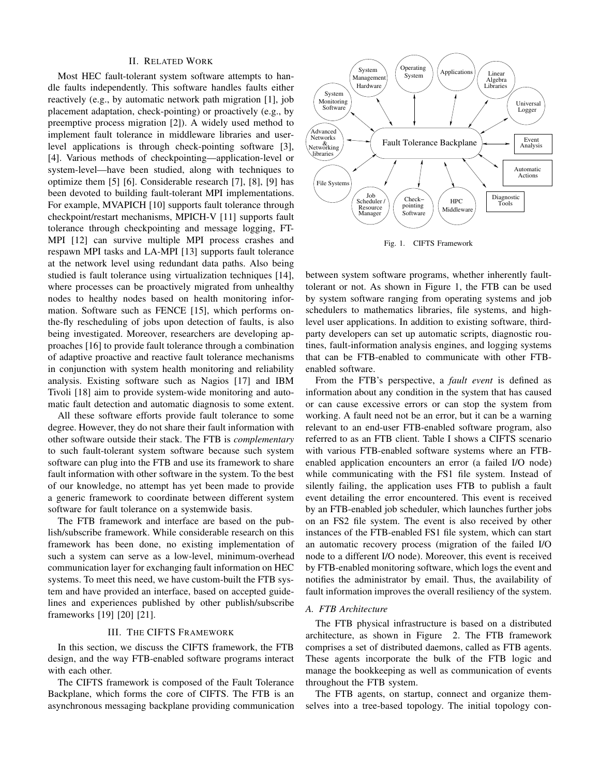#### II. RELATED WORK

Most HEC fault-tolerant system software attempts to handle faults independently. This software handles faults either reactively (e.g., by automatic network path migration [1], job placement adaptation, check-pointing) or proactively (e.g., by preemptive process migration [2]). A widely used method to implement fault tolerance in middleware libraries and userlevel applications is through check-pointing software [3], [4]. Various methods of checkpointing—application-level or system-level—have been studied, along with techniques to optimize them [5] [6]. Considerable research [7], [8], [9] has been devoted to building fault-tolerant MPI implementations. For example, MVAPICH [10] supports fault tolerance through checkpoint/restart mechanisms, MPICH-V [11] supports fault tolerance through checkpointing and message logging, FT-MPI [12] can survive multiple MPI process crashes and respawn MPI tasks and LA-MPI [13] supports fault tolerance at the network level using redundant data paths. Also being studied is fault tolerance using virtualization techniques [14], where processes can be proactively migrated from unhealthy nodes to healthy nodes based on health monitoring information. Software such as FENCE [15], which performs onthe-fly rescheduling of jobs upon detection of faults, is also being investigated. Moreover, researchers are developing approaches [16] to provide fault tolerance through a combination of adaptive proactive and reactive fault tolerance mechanisms in conjunction with system health monitoring and reliability analysis. Existing software such as Nagios [17] and IBM Tivoli [18] aim to provide system-wide monitoring and automatic fault detection and automatic diagnosis to some extent.

All these software efforts provide fault tolerance to some degree. However, they do not share their fault information with other software outside their stack. The FTB is *complementary* to such fault-tolerant system software because such system software can plug into the FTB and use its framework to share fault information with other software in the system. To the best of our knowledge, no attempt has yet been made to provide a generic framework to coordinate between different system software for fault tolerance on a systemwide basis.

The FTB framework and interface are based on the publish/subscribe framework. While considerable research on this framework has been done, no existing implementation of such a system can serve as a low-level, minimum-overhead communication layer for exchanging fault information on HEC systems. To meet this need, we have custom-built the FTB system and have provided an interface, based on accepted guidelines and experiences published by other publish/subscribe frameworks [19] [20] [21].

# III. THE CIFTS FRAMEWORK

In this section, we discuss the CIFTS framework, the FTB design, and the way FTB-enabled software programs interact with each other.

The CIFTS framework is composed of the Fault Tolerance Backplane, which forms the core of CIFTS. The FTB is an asynchronous messaging backplane providing communication



Fig. 1. CIFTS Framework

between system software programs, whether inherently faulttolerant or not. As shown in Figure 1, the FTB can be used by system software ranging from operating systems and job schedulers to mathematics libraries, file systems, and highlevel user applications. In addition to existing software, thirdparty developers can set up automatic scripts, diagnostic routines, fault-information analysis engines, and logging systems that can be FTB-enabled to communicate with other FTBenabled software.

From the FTB's perspective, a *fault event* is defined as information about any condition in the system that has caused or can cause excessive errors or can stop the system from working. A fault need not be an error, but it can be a warning relevant to an end-user FTB-enabled software program, also referred to as an FTB client. Table I shows a CIFTS scenario with various FTB-enabled software systems where an FTBenabled application encounters an error (a failed I/O node) while communicating with the FS1 file system. Instead of silently failing, the application uses FTB to publish a fault event detailing the error encountered. This event is received by an FTB-enabled job scheduler, which launches further jobs on an FS2 file system. The event is also received by other instances of the FTB-enabled FS1 file system, which can start an automatic recovery process (migration of the failed I/O node to a different I/O node). Moreover, this event is received by FTB-enabled monitoring software, which logs the event and notifies the administrator by email. Thus, the availability of fault information improves the overall resiliency of the system.

# *A. FTB Architecture*

The FTB physical infrastructure is based on a distributed architecture, as shown in Figure 2. The FTB framework comprises a set of distributed daemons, called as FTB agents. These agents incorporate the bulk of the FTB logic and manage the bookkeeping as well as communication of events throughout the FTB system.

The FTB agents, on startup, connect and organize themselves into a tree-based topology. The initial topology con-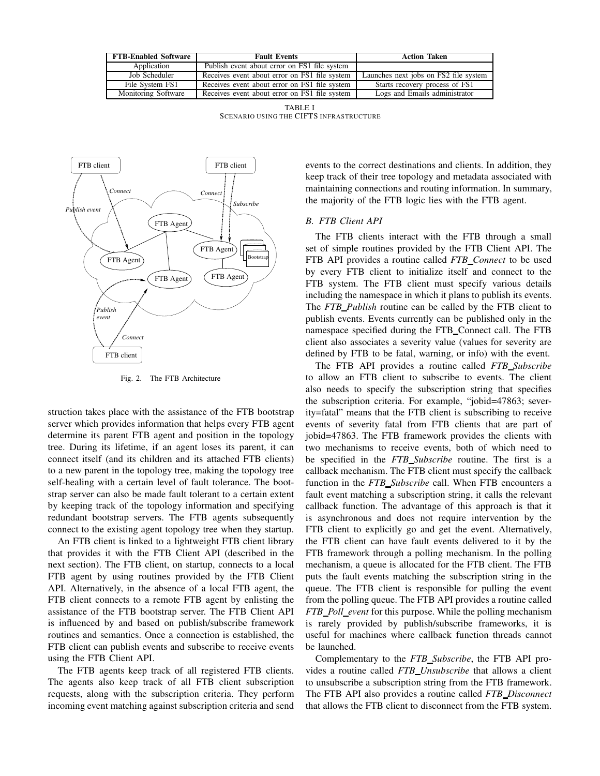| <b>FTB-Enabled Software</b> | <b>Fault Events</b>                           | <b>Action Taken</b>                   |
|-----------------------------|-----------------------------------------------|---------------------------------------|
| Application                 | Publish event about error on FS1 file system  |                                       |
| Job Scheduler               | Receives event about error on FS1 file system | Launches next jobs on FS2 file system |
| File System FS1             | Receives event about error on FS1 file system | Starts recovery process of FS1        |
| Monitoring Software         | Receives event about error on FS1 file system | Logs and Emails administrator         |

TABLE I SCENARIO USING THE CIFTS INFRASTRUCTURE



Fig. 2. The FTB Architecture

struction takes place with the assistance of the FTB bootstrap server which provides information that helps every FTB agent determine its parent FTB agent and position in the topology tree. During its lifetime, if an agent loses its parent, it can connect itself (and its children and its attached FTB clients) to a new parent in the topology tree, making the topology tree self-healing with a certain level of fault tolerance. The bootstrap server can also be made fault tolerant to a certain extent by keeping track of the topology information and specifying redundant bootstrap servers. The FTB agents subsequently connect to the existing agent topology tree when they startup.

An FTB client is linked to a lightweight FTB client library that provides it with the FTB Client API (described in the next section). The FTB client, on startup, connects to a local FTB agent by using routines provided by the FTB Client API. Alternatively, in the absence of a local FTB agent, the FTB client connects to a remote FTB agent by enlisting the assistance of the FTB bootstrap server. The FTB Client API is influenced by and based on publish/subscribe framework routines and semantics. Once a connection is established, the FTB client can publish events and subscribe to receive events using the FTB Client API.

The FTB agents keep track of all registered FTB clients. The agents also keep track of all FTB client subscription requests, along with the subscription criteria. They perform incoming event matching against subscription criteria and send events to the correct destinations and clients. In addition, they keep track of their tree topology and metadata associated with maintaining connections and routing information. In summary, the majority of the FTB logic lies with the FTB agent.

# *B. FTB Client API*

The FTB clients interact with the FTB through a small set of simple routines provided by the FTB Client API. The FTB API provides a routine called *FTB Connect* to be used by every FTB client to initialize itself and connect to the FTB system. The FTB client must specify various details including the namespace in which it plans to publish its events. The *FTB Publish* routine can be called by the FTB client to publish events. Events currently can be published only in the namespace specified during the FTB Connect call. The FTB client also associates a severity value (values for severity are defined by FTB to be fatal, warning, or info) with the event.

The FTB API provides a routine called *FTB Subscribe* to allow an FTB client to subscribe to events. The client also needs to specify the subscription string that specifies the subscription criteria. For example, "jobid=47863; severity=fatal" means that the FTB client is subscribing to receive events of severity fatal from FTB clients that are part of jobid=47863. The FTB framework provides the clients with two mechanisms to receive events, both of which need to be specified in the *FTB Subscribe* routine. The first is a callback mechanism. The FTB client must specify the callback function in the *FTB Subscribe* call. When FTB encounters a fault event matching a subscription string, it calls the relevant callback function. The advantage of this approach is that it is asynchronous and does not require intervention by the FTB client to explicitly go and get the event. Alternatively, the FTB client can have fault events delivered to it by the FTB framework through a polling mechanism. In the polling mechanism, a queue is allocated for the FTB client. The FTB puts the fault events matching the subscription string in the queue. The FTB client is responsible for pulling the event from the polling queue. The FTB API provides a routine called *FTB Poll event* for this purpose. While the polling mechanism is rarely provided by publish/subscribe frameworks, it is useful for machines where callback function threads cannot be launched.

Complementary to the *FTB Subscribe*, the FTB API provides a routine called *FTB Unsubscribe* that allows a client to unsubscribe a subscription string from the FTB framework. The FTB API also provides a routine called *FTB Disconnect* that allows the FTB client to disconnect from the FTB system.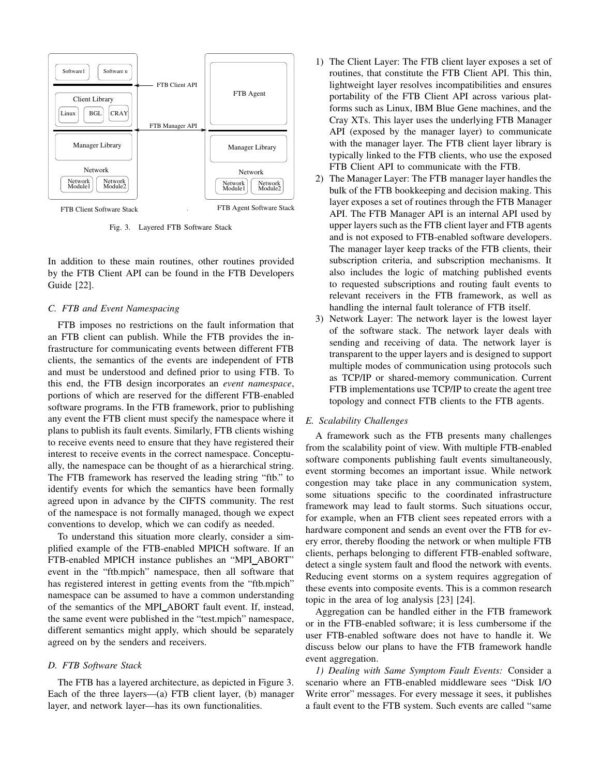

Fig. 3. Layered FTB Software Stack

In addition to these main routines, other routines provided by the FTB Client API can be found in the FTB Developers Guide [22].

# *C. FTB and Event Namespacing*

FTB imposes no restrictions on the fault information that an FTB client can publish. While the FTB provides the infrastructure for communicating events between different FTB clients, the semantics of the events are independent of FTB and must be understood and defined prior to using FTB. To this end, the FTB design incorporates an *event namespace*, portions of which are reserved for the different FTB-enabled software programs. In the FTB framework, prior to publishing any event the FTB client must specify the namespace where it plans to publish its fault events. Similarly, FTB clients wishing to receive events need to ensure that they have registered their interest to receive events in the correct namespace. Conceptually, the namespace can be thought of as a hierarchical string. The FTB framework has reserved the leading string "ftb." to identify events for which the semantics have been formally agreed upon in advance by the CIFTS community. The rest of the namespace is not formally managed, though we expect conventions to develop, which we can codify as needed.

To understand this situation more clearly, consider a simplified example of the FTB-enabled MPICH software. If an FTB-enabled MPICH instance publishes an "MPI ABORT" event in the "ftb.mpich" namespace, then all software that has registered interest in getting events from the "ftb.mpich" namespace can be assumed to have a common understanding of the semantics of the MPI ABORT fault event. If, instead, the same event were published in the "test.mpich" namespace, different semantics might apply, which should be separately agreed on by the senders and receivers.

# *D. FTB Software Stack*

The FTB has a layered architecture, as depicted in Figure 3. Each of the three layers—(a) FTB client layer, (b) manager layer, and network layer—has its own functionalities.

- 1) The Client Layer: The FTB client layer exposes a set of routines, that constitute the FTB Client API. This thin, lightweight layer resolves incompatibilities and ensures portability of the FTB Client API across various platforms such as Linux, IBM Blue Gene machines, and the Cray XTs. This layer uses the underlying FTB Manager API (exposed by the manager layer) to communicate with the manager layer. The FTB client layer library is typically linked to the FTB clients, who use the exposed FTB Client API to communicate with the FTB.
- 2) The Manager Layer: The FTB manager layer handles the bulk of the FTB bookkeeping and decision making. This layer exposes a set of routines through the FTB Manager API. The FTB Manager API is an internal API used by upper layers such as the FTB client layer and FTB agents and is not exposed to FTB-enabled software developers. The manager layer keep tracks of the FTB clients, their subscription criteria, and subscription mechanisms. It also includes the logic of matching published events to requested subscriptions and routing fault events to relevant receivers in the FTB framework, as well as handling the internal fault tolerance of FTB itself.
- 3) Network Layer: The network layer is the lowest layer of the software stack. The network layer deals with sending and receiving of data. The network layer is transparent to the upper layers and is designed to support multiple modes of communication using protocols such as TCP/IP or shared-memory communication. Current FTB implementations use TCP/IP to create the agent tree topology and connect FTB clients to the FTB agents.

#### *E. Scalability Challenges*

A framework such as the FTB presents many challenges from the scalability point of view. With multiple FTB-enabled software components publishing fault events simultaneously, event storming becomes an important issue. While network congestion may take place in any communication system, some situations specific to the coordinated infrastructure framework may lead to fault storms. Such situations occur, for example, when an FTB client sees repeated errors with a hardware component and sends an event over the FTB for every error, thereby flooding the network or when multiple FTB clients, perhaps belonging to different FTB-enabled software, detect a single system fault and flood the network with events. Reducing event storms on a system requires aggregation of these events into composite events. This is a common research topic in the area of log analysis [23] [24].

Aggregation can be handled either in the FTB framework or in the FTB-enabled software; it is less cumbersome if the user FTB-enabled software does not have to handle it. We discuss below our plans to have the FTB framework handle event aggregation.

*1) Dealing with Same Symptom Fault Events:* Consider a scenario where an FTB-enabled middleware sees "Disk I/O Write error" messages. For every message it sees, it publishes a fault event to the FTB system. Such events are called "same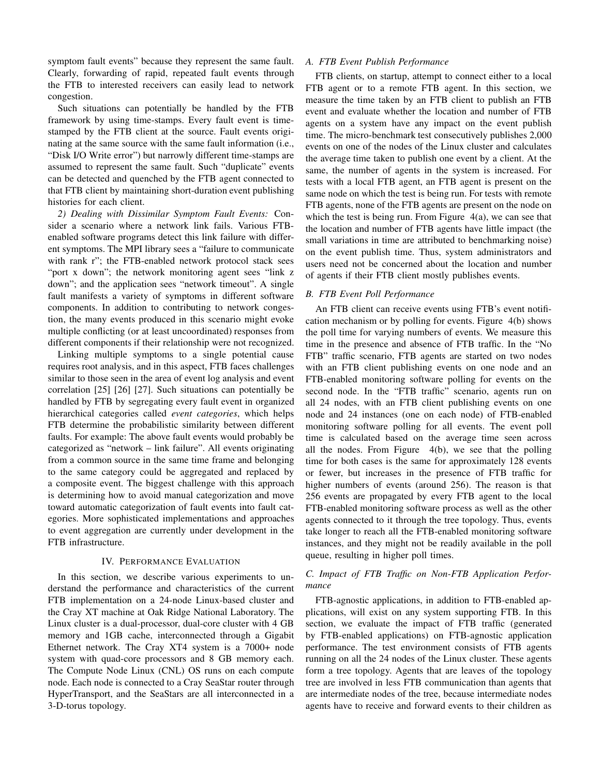symptom fault events" because they represent the same fault. Clearly, forwarding of rapid, repeated fault events through the FTB to interested receivers can easily lead to network congestion.

Such situations can potentially be handled by the FTB framework by using time-stamps. Every fault event is timestamped by the FTB client at the source. Fault events originating at the same source with the same fault information (i.e., "Disk I/O Write error") but narrowly different time-stamps are assumed to represent the same fault. Such "duplicate" events can be detected and quenched by the FTB agent connected to that FTB client by maintaining short-duration event publishing histories for each client.

*2) Dealing with Dissimilar Symptom Fault Events:* Consider a scenario where a network link fails. Various FTBenabled software programs detect this link failure with different symptoms. The MPI library sees a "failure to communicate with rank r"; the FTB-enabled network protocol stack sees "port x down"; the network monitoring agent sees "link z down"; and the application sees "network timeout". A single fault manifests a variety of symptoms in different software components. In addition to contributing to network congestion, the many events produced in this scenario might evoke multiple conflicting (or at least uncoordinated) responses from different components if their relationship were not recognized.

Linking multiple symptoms to a single potential cause requires root analysis, and in this aspect, FTB faces challenges similar to those seen in the area of event log analysis and event correlation [25] [26] [27]. Such situations can potentially be handled by FTB by segregating every fault event in organized hierarchical categories called *event categories*, which helps FTB determine the probabilistic similarity between different faults. For example: The above fault events would probably be categorized as "network – link failure". All events originating from a common source in the same time frame and belonging to the same category could be aggregated and replaced by a composite event. The biggest challenge with this approach is determining how to avoid manual categorization and move toward automatic categorization of fault events into fault categories. More sophisticated implementations and approaches to event aggregation are currently under development in the FTB infrastructure.

# IV. PERFORMANCE EVALUATION

In this section, we describe various experiments to understand the performance and characteristics of the current FTB implementation on a 24-node Linux-based cluster and the Cray XT machine at Oak Ridge National Laboratory. The Linux cluster is a dual-processor, dual-core cluster with 4 GB memory and 1GB cache, interconnected through a Gigabit Ethernet network. The Cray XT4 system is a 7000+ node system with quad-core processors and 8 GB memory each. The Compute Node Linux (CNL) OS runs on each compute node. Each node is connected to a Cray SeaStar router through HyperTransport, and the SeaStars are all interconnected in a 3-D-torus topology.

## *A. FTB Event Publish Performance*

FTB clients, on startup, attempt to connect either to a local FTB agent or to a remote FTB agent. In this section, we measure the time taken by an FTB client to publish an FTB event and evaluate whether the location and number of FTB agents on a system have any impact on the event publish time. The micro-benchmark test consecutively publishes 2,000 events on one of the nodes of the Linux cluster and calculates the average time taken to publish one event by a client. At the same, the number of agents in the system is increased. For tests with a local FTB agent, an FTB agent is present on the same node on which the test is being run. For tests with remote FTB agents, none of the FTB agents are present on the node on which the test is being run. From Figure  $4(a)$ , we can see that the location and number of FTB agents have little impact (the small variations in time are attributed to benchmarking noise) on the event publish time. Thus, system administrators and users need not be concerned about the location and number of agents if their FTB client mostly publishes events.

## *B. FTB Event Poll Performance*

An FTB client can receive events using FTB's event notification mechanism or by polling for events. Figure 4(b) shows the poll time for varying numbers of events. We measure this time in the presence and absence of FTB traffic. In the "No FTB" traffic scenario, FTB agents are started on two nodes with an FTB client publishing events on one node and an FTB-enabled monitoring software polling for events on the second node. In the "FTB traffic" scenario, agents run on all 24 nodes, with an FTB client publishing events on one node and 24 instances (one on each node) of FTB-enabled monitoring software polling for all events. The event poll time is calculated based on the average time seen across all the nodes. From Figure 4(b), we see that the polling time for both cases is the same for approximately 128 events or fewer, but increases in the presence of FTB traffic for higher numbers of events (around 256). The reason is that 256 events are propagated by every FTB agent to the local FTB-enabled monitoring software process as well as the other agents connected to it through the tree topology. Thus, events take longer to reach all the FTB-enabled monitoring software instances, and they might not be readily available in the poll queue, resulting in higher poll times.

# *C. Impact of FTB Traffic on Non-FTB Application Performance*

FTB-agnostic applications, in addition to FTB-enabled applications, will exist on any system supporting FTB. In this section, we evaluate the impact of FTB traffic (generated by FTB-enabled applications) on FTB-agnostic application performance. The test environment consists of FTB agents running on all the 24 nodes of the Linux cluster. These agents form a tree topology. Agents that are leaves of the topology tree are involved in less FTB communication than agents that are intermediate nodes of the tree, because intermediate nodes agents have to receive and forward events to their children as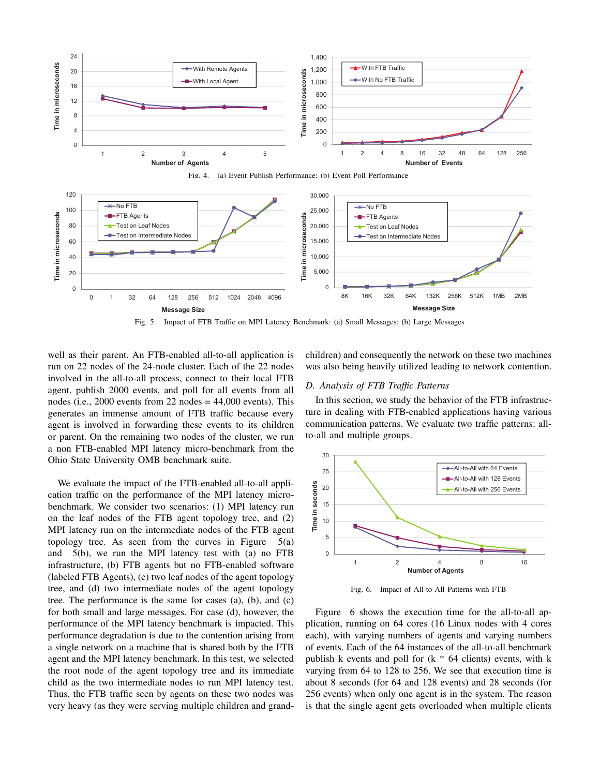

Fig. 5. Impact of FTB Traffic on MPI Latency Benchmark: (a) Small Messages; (b) Large Messages

well as their parent. An FTB-enabled all-to-all application is run on 22 nodes of the 24-node cluster. Each of the 22 nodes involved in the all-to-all process, connect to their local FTB agent, publish 2000 events, and poll for all events from all nodes (i.e., 2000 events from 22 nodes = 44,000 events). This generates an immense amount of FTB traffic because every agent is involved in forwarding these events to its children or parent. On the remaining two nodes of the cluster, we run a non FTB-enabled MPI latency micro-benchmark from the Ohio State University OMB benchmark suite.

We evaluate the impact of the FTB-enabled all-to-all application traffic on the performance of the MPI latency microbenchmark. We consider two scenarios: (1) MPI latency run on the leaf nodes of the FTB agent topology tree, and (2) MPI latency run on the intermediate nodes of the FTB agent topology tree. As seen from the curves in Figure  $5(a)$ and 5(b), we run the MPI latency test with (a) no FTB infrastructure, (b) FTB agents but no FTB-enabled software (labeled FTB Agents), (c) two leaf nodes of the agent topology tree, and (d) two intermediate nodes of the agent topology tree. The performance is the same for cases (a), (b), and (c) for both small and large messages. For case (d), however, the performance of the MPI latency benchmark is impacted. This performance degradation is due to the contention arising from a single network on a machine that is shared both by the FTB agent and the MPI latency benchmark. In this test, we selected the root node of the agent topology tree and its immediate child as the two intermediate nodes to run MPI latency test. Thus, the FTB traffic seen by agents on these two nodes was very heavy (as they were serving multiple children and grandchildren) and consequently the network on these two machines was also being heavily utilized leading to network contention.

# *D. Analysis of FTB Traffic Patterns*

In this section, we study the behavior of the FTB infrastructure in dealing with FTB-enabled applications having various communication patterns. We evaluate two traffic patterns: allto-all and multiple groups.



Fig. 6. Impact of All-to-All Patterns with FTB

Figure 6 shows the execution time for the all-to-all application, running on 64 cores (16 Linux nodes with 4 cores each), with varying numbers of agents and varying numbers of events. Each of the 64 instances of the all-to-all benchmark publish k events and poll for  $(k * 64$  clients) events, with k varying from 64 to 128 to 256. We see that execution time is about 8 seconds (for 64 and 128 events) and 28 seconds (for 256 events) when only one agent is in the system. The reason is that the single agent gets overloaded when multiple clients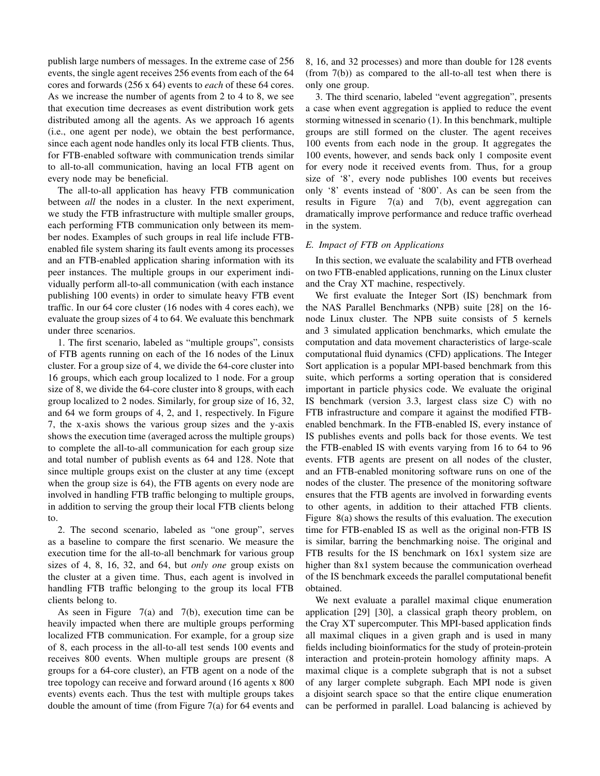publish large numbers of messages. In the extreme case of 256 events, the single agent receives 256 events from each of the 64 cores and forwards (256 x 64) events to *each* of these 64 cores. As we increase the number of agents from 2 to 4 to 8, we see that execution time decreases as event distribution work gets distributed among all the agents. As we approach 16 agents (i.e., one agent per node), we obtain the best performance, since each agent node handles only its local FTB clients. Thus, for FTB-enabled software with communication trends similar to all-to-all communication, having an local FTB agent on every node may be beneficial.

The all-to-all application has heavy FTB communication between *all* the nodes in a cluster. In the next experiment, we study the FTB infrastructure with multiple smaller groups, each performing FTB communication only between its member nodes. Examples of such groups in real life include FTBenabled file system sharing its fault events among its processes and an FTB-enabled application sharing information with its peer instances. The multiple groups in our experiment individually perform all-to-all communication (with each instance publishing 100 events) in order to simulate heavy FTB event traffic. In our 64 core cluster (16 nodes with 4 cores each), we evaluate the group sizes of 4 to 64. We evaluate this benchmark under three scenarios.

1. The first scenario, labeled as "multiple groups", consists of FTB agents running on each of the 16 nodes of the Linux cluster. For a group size of 4, we divide the 64-core cluster into 16 groups, which each group localized to 1 node. For a group size of 8, we divide the 64-core cluster into 8 groups, with each group localized to 2 nodes. Similarly, for group size of 16, 32, and 64 we form groups of 4, 2, and 1, respectively. In Figure 7, the x-axis shows the various group sizes and the y-axis shows the execution time (averaged across the multiple groups) to complete the all-to-all communication for each group size and total number of publish events as 64 and 128. Note that since multiple groups exist on the cluster at any time (except when the group size is 64), the FTB agents on every node are involved in handling FTB traffic belonging to multiple groups, in addition to serving the group their local FTB clients belong to.

2. The second scenario, labeled as "one group", serves as a baseline to compare the first scenario. We measure the execution time for the all-to-all benchmark for various group sizes of 4, 8, 16, 32, and 64, but *only one* group exists on the cluster at a given time. Thus, each agent is involved in handling FTB traffic belonging to the group its local FTB clients belong to.

As seen in Figure 7(a) and 7(b), execution time can be heavily impacted when there are multiple groups performing localized FTB communication. For example, for a group size of 8, each process in the all-to-all test sends 100 events and receives 800 events. When multiple groups are present (8 groups for a 64-core cluster), an FTB agent on a node of the tree topology can receive and forward around (16 agents x 800 events) events each. Thus the test with multiple groups takes double the amount of time (from Figure 7(a) for 64 events and 8, 16, and 32 processes) and more than double for 128 events (from 7(b)) as compared to the all-to-all test when there is only one group.

3. The third scenario, labeled "event aggregation", presents a case when event aggregation is applied to reduce the event storming witnessed in scenario (1). In this benchmark, multiple groups are still formed on the cluster. The agent receives 100 events from each node in the group. It aggregates the 100 events, however, and sends back only 1 composite event for every node it received events from. Thus, for a group size of '8', every node publishes 100 events but receives only '8' events instead of '800'. As can be seen from the results in Figure  $7(a)$  and  $7(b)$ , event aggregation can dramatically improve performance and reduce traffic overhead in the system.

## *E. Impact of FTB on Applications*

In this section, we evaluate the scalability and FTB overhead on two FTB-enabled applications, running on the Linux cluster and the Cray XT machine, respectively.

We first evaluate the Integer Sort (IS) benchmark from the NAS Parallel Benchmarks (NPB) suite [28] on the 16 node Linux cluster. The NPB suite consists of 5 kernels and 3 simulated application benchmarks, which emulate the computation and data movement characteristics of large-scale computational fluid dynamics (CFD) applications. The Integer Sort application is a popular MPI-based benchmark from this suite, which performs a sorting operation that is considered important in particle physics code. We evaluate the original IS benchmark (version 3.3, largest class size C) with no FTB infrastructure and compare it against the modified FTBenabled benchmark. In the FTB-enabled IS, every instance of IS publishes events and polls back for those events. We test the FTB-enabled IS with events varying from 16 to 64 to 96 events. FTB agents are present on all nodes of the cluster, and an FTB-enabled monitoring software runs on one of the nodes of the cluster. The presence of the monitoring software ensures that the FTB agents are involved in forwarding events to other agents, in addition to their attached FTB clients. Figure 8(a) shows the results of this evaluation. The execution time for FTB-enabled IS as well as the original non-FTB IS is similar, barring the benchmarking noise. The original and FTB results for the IS benchmark on 16x1 system size are higher than 8x1 system because the communication overhead of the IS benchmark exceeds the parallel computational benefit obtained.

We next evaluate a parallel maximal clique enumeration application [29] [30], a classical graph theory problem, on the Cray XT supercomputer. This MPI-based application finds all maximal cliques in a given graph and is used in many fields including bioinformatics for the study of protein-protein interaction and protein-protein homology affinity maps. A maximal clique is a complete subgraph that is not a subset of any larger complete subgraph. Each MPI node is given a disjoint search space so that the entire clique enumeration can be performed in parallel. Load balancing is achieved by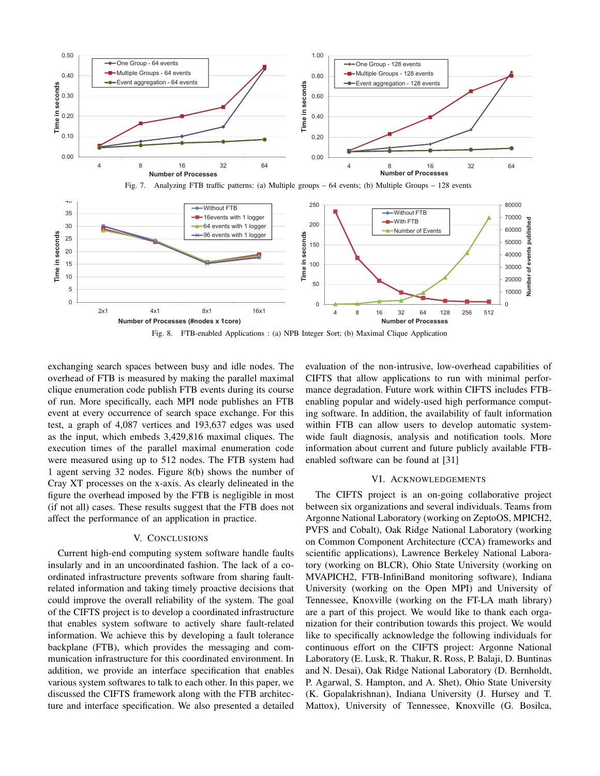



Fig. 8. FTB-enabled Applications : (a) NPB Integer Sort; (b) Maximal Clique Application

exchanging search spaces between busy and idle nodes. The overhead of FTB is measured by making the parallel maximal clique enumeration code publish FTB events during its course of run. More specifically, each MPI node publishes an FTB event at every occurrence of search space exchange. For this test, a graph of 4,087 vertices and 193,637 edges was used as the input, which embeds 3,429,816 maximal cliques. The execution times of the parallel maximal enumeration code were measured using up to 512 nodes. The FTB system had 1 agent serving 32 nodes. Figure 8(b) shows the number of Cray XT processes on the x-axis. As clearly delineated in the figure the overhead imposed by the FTB is negligible in most (if not all) cases. These results suggest that the FTB does not affect the performance of an application in practice.

## V. CONCLUSIONS

Current high-end computing system software handle faults insularly and in an uncoordinated fashion. The lack of a coordinated infrastructure prevents software from sharing faultrelated information and taking timely proactive decisions that could improve the overall reliability of the system. The goal of the CIFTS project is to develop a coordinated infrastructure that enables system software to actively share fault-related information. We achieve this by developing a fault tolerance backplane (FTB), which provides the messaging and communication infrastructure for this coordinated environment. In addition, we provide an interface specification that enables various system softwares to talk to each other. In this paper, we discussed the CIFTS framework along with the FTB architecture and interface specification. We also presented a detailed evaluation of the non-intrusive, low-overhead capabilities of CIFTS that allow applications to run with minimal performance degradation. Future work within CIFTS includes FTBenabling popular and widely-used high performance computing software. In addition, the availability of fault information within FTB can allow users to develop automatic systemwide fault diagnosis, analysis and notification tools. More information about current and future publicly available FTBenabled software can be found at [31]

## VI. ACKNOWLEDGEMENTS

The CIFTS project is an on-going collaborative project between six organizations and several individuals. Teams from Argonne National Laboratory (working on ZeptoOS, MPICH2, PVFS and Cobalt), Oak Ridge National Laboratory (working on Common Component Architecture (CCA) frameworks and scientific applications), Lawrence Berkeley National Laboratory (working on BLCR), Ohio State University (working on MVAPICH2, FTB-InfiniBand monitoring software), Indiana University (working on the Open MPI) and University of Tennessee, Knoxville (working on the FT-LA math library) are a part of this project. We would like to thank each organization for their contribution towards this project. We would like to specifically acknowledge the following individuals for continuous effort on the CIFTS project: Argonne National Laboratory (E. Lusk, R. Thakur, R. Ross, P. Balaji, D. Buntinas and N. Desai), Oak Ridge National Laboratory (D. Bernholdt, P. Agarwal, S. Hampton, and A. Shet), Ohio State University (K. Gopalakrishnan), Indiana University (J. Hursey and T. Mattox), University of Tennessee, Knoxville (G. Bosilca,